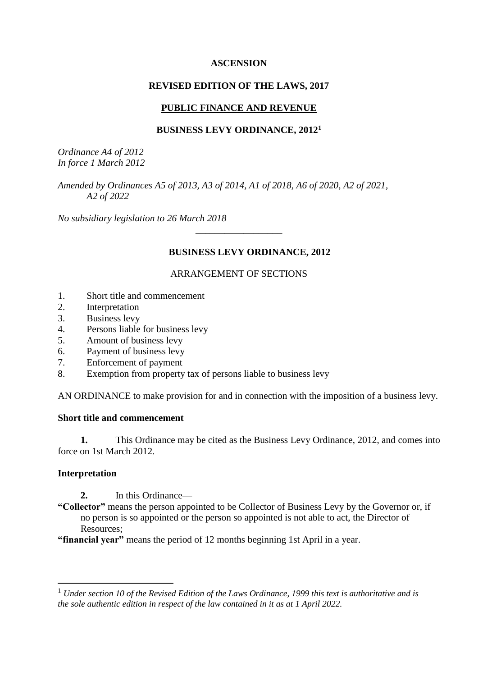#### **ASCENSION**

#### **REVISED EDITION OF THE LAWS, 2017**

## **PUBLIC FINANCE AND REVENUE**

#### **BUSINESS LEVY ORDINANCE, 2012<sup>1</sup>**

*Ordinance A4 of 2012 In force 1 March 2012*

*Amended by Ordinances A5 of 2013, A3 of 2014, A1 of 2018, A6 of 2020, A2 of 2021, A2 of 2022*

*No subsidiary legislation to 26 March 2018*

# **BUSINESS LEVY ORDINANCE, 2012**

# ARRANGEMENT OF SECTIONS

\_\_\_\_\_\_\_\_\_\_\_\_\_\_\_\_\_\_

- 1. Short title and commencement
- 2. Interpretation
- 3. Business levy
- 4. Persons liable for business levy
- 5. Amount of business levy
- 6. Payment of business levy
- 7. Enforcement of payment
- 8. Exemption from property tax of persons liable to business levy

AN ORDINANCE to make provision for and in connection with the imposition of a business levy.

#### **Short title and commencement**

**1.** This Ordinance may be cited as the Business Levy Ordinance, 2012, and comes into force on 1st March 2012.

# **Interpretation**

1

**2.** In this Ordinance—

**"Collector"** means the person appointed to be Collector of Business Levy by the Governor or, if no person is so appointed or the person so appointed is not able to act, the Director of Resources;

**"financial year"** means the period of 12 months beginning 1st April in a year.

<sup>1</sup> *Under section 10 of the Revised Edition of the Laws Ordinance, 1999 this text is authoritative and is the sole authentic edition in respect of the law contained in it as at 1 April 2022.*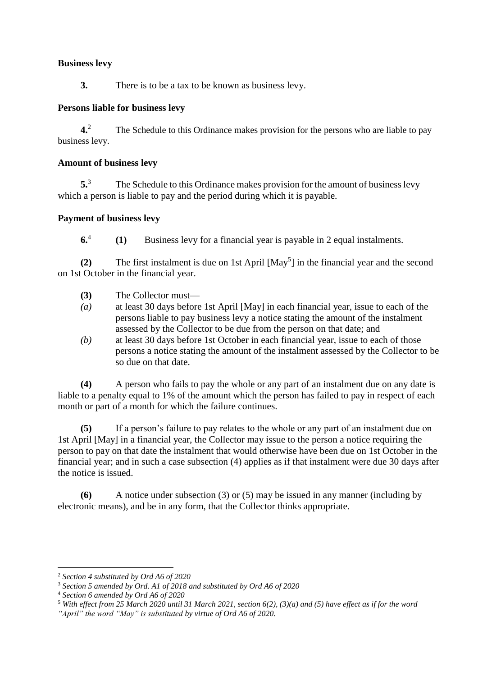## **Business levy**

**3.** There is to be a tax to be known as business levy.

## **Persons liable for business levy**

**4.**<sup>2</sup> The Schedule to this Ordinance makes provision for the persons who are liable to pay business levy.

#### **Amount of business levy**

**5.** The Schedule to this Ordinance makes provision for the amount of business levy which a person is liable to pay and the period during which it is payable.

## **Payment of business levy**

**6.**4 **(1)** Business levy for a financial year is payable in 2 equal instalments.

(2) The first instalment is due on 1st April [May<sup>5</sup>] in the financial year and the second on 1st October in the financial year.

- **(3)** The Collector must—
- *(a)* at least 30 days before 1st April [May] in each financial year, issue to each of the persons liable to pay business levy a notice stating the amount of the instalment assessed by the Collector to be due from the person on that date; and
- *(b)* at least 30 days before 1st October in each financial year, issue to each of those persons a notice stating the amount of the instalment assessed by the Collector to be so due on that date.

**(4)** A person who fails to pay the whole or any part of an instalment due on any date is liable to a penalty equal to 1% of the amount which the person has failed to pay in respect of each month or part of a month for which the failure continues.

**(5)** If a person's failure to pay relates to the whole or any part of an instalment due on 1st April [May] in a financial year, the Collector may issue to the person a notice requiring the person to pay on that date the instalment that would otherwise have been due on 1st October in the financial year; and in such a case subsection (4) applies as if that instalment were due 30 days after the notice is issued.

**(6)** A notice under subsection (3) or (5) may be issued in any manner (including by electronic means), and be in any form, that the Collector thinks appropriate.

<u>.</u>

<sup>2</sup> *Section 4 substituted by Ord A6 of 2020*

<sup>3</sup> *Section 5 amended by Ord. A1 of 2018 and substituted by Ord A6 of 2020*

<sup>4</sup> *Section 6 amended by Ord A6 of 2020*

<sup>5</sup> *With effect from 25 March 2020 until 31 March 2021, section 6(2), (3)(a) and (5) have effect as if for the word* 

*<sup>&</sup>quot;April" the word "May" is substituted by virtue of Ord A6 of 2020.*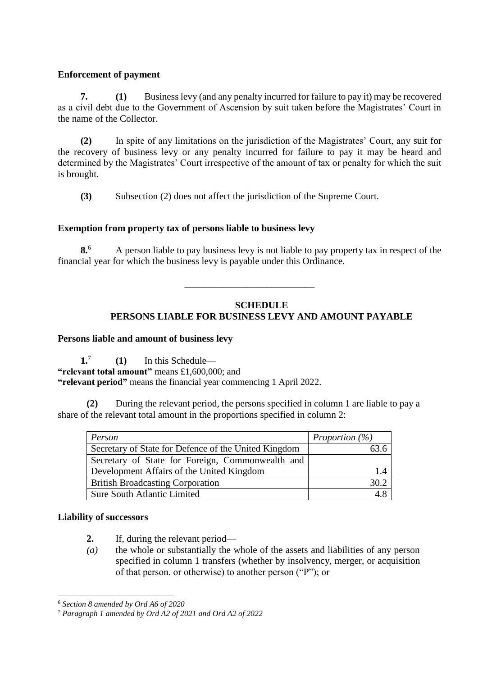# **Enforcement of payment**

**7. (1)** Business levy (and any penalty incurred for failure to pay it) may be recovered as a civil debt due to the Government of Ascension by suit taken before the Magistrates' Court in the name of the Collector.

**(2)** In spite of any limitations on the jurisdiction of the Magistrates' Court, any suit for the recovery of business levy or any penalty incurred for failure to pay it may be heard and determined by the Magistrates' Court irrespective of the amount of tax or penalty for which the suit is brought.

**(3)** Subsection (2) does not affect the jurisdiction of the Supreme Court.

# **Exemption from property tax of persons liable to business levy**

**8.**<sup>6</sup> A person liable to pay business levy is not liable to pay property tax in respect of the financial year for which the business levy is payable under this Ordinance.

\_\_\_\_\_\_\_\_\_\_\_\_\_\_\_\_\_\_\_\_\_\_\_\_\_\_\_

# **SCHEDULE**

# **PERSONS LIABLE FOR BUSINESS LEVY AND AMOUNT PAYABLE**

#### **Persons liable and amount of business levy**

**1.**7 **(1)** In this Schedule–– **"relevant total amount"** means £1,600,000; and **"relevant period"** means the financial year commencing 1 April 2022.

**(2)** During the relevant period, the persons specified in column 1 are liable to pay a share of the relevant total amount in the proportions specified in column 2:

| Person                                               | Proportion $(\%)$ |
|------------------------------------------------------|-------------------|
| Secretary of State for Defence of the United Kingdom |                   |
| Secretary of State for Foreign, Commonwealth and     |                   |
| Development Affairs of the United Kingdom            | 14                |
| <b>British Broadcasting Corporation</b>              | 30.2              |
| <b>Sure South Atlantic Limited</b>                   |                   |

#### **Liability of successors**

<u>.</u>

- **2.** If, during the relevant period—
- *(a)* the whole or substantially the whole of the assets and liabilities of any person specified in column 1 transfers (whether by insolvency, merger, or acquisition of that person. or otherwise) to another person ("P"); or

<sup>6</sup> *Section 8 amended by Ord A6 of 2020*

<sup>7</sup> *Paragraph 1 amended by Ord A2 of 2021 and Ord A2 of 2022*